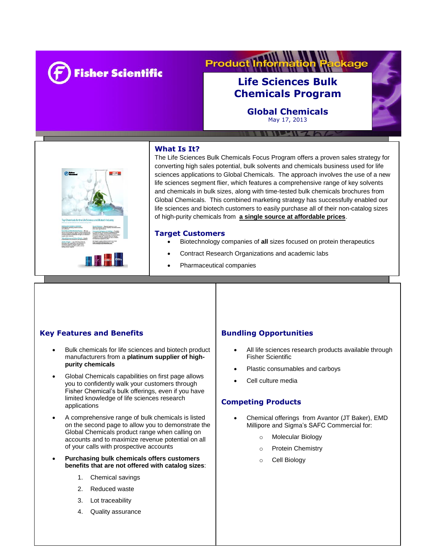

#### **Product** kage

# **Life Sciences Bulk Chemicals Program**

**Global Chemicals** May 17, 2013

WELL-W-Z

## **What Is It?**



The Life Sciences Bulk Chemicals Focus Program offers a proven sales strategy for converting high sales potential, bulk solvents and chemicals business used for life sciences applications to Global Chemicals. The approach involves the use of a new life sciences segment flier, which features a comprehensive range of key solvents and chemicals in bulk sizes, along with time-tested bulk chemicals brochures from Global Chemicals. This combined marketing strategy has successfully enabled our life sciences and biotech customers to easily purchase all of their non-catalog sizes of high-purity chemicals from **a single source at affordable prices**.

#### **Target Customers**

ī

- Biotechnology companies of **all** sizes focused on protein therapeutics
	- Contract Research Organizations and academic labs
- Pharmaceutical companies

Synthetic genes & protein manufacturers

## **Key Features and Benefits**

- Bulk chemicals for life sciences and biotech product manufacturers from a **platinum supplier of highpurity chemicals**
- Global Chemicals capabilities on first page allows you to confidently walk your customers through Fisher Chemical's bulk offerings, even if you have limited knowledge of life sciences research applications
- A comprehensive range of bulk chemicals is listed on the second page to allow you to demonstrate the Global Chemicals product range when calling on accounts and to maximize revenue potential on all of your calls with prospective accounts
- **Purchasing bulk chemicals offers customers benefits that are not offered with catalog sizes**:
	- 1. Chemical savings
	- 2. Reduced waste
	- 3. Lot traceability
	- 4. Quality assurance

## **Bundling Opportunities**

- All life sciences research products available through Fisher Scientific
- Plastic consumables and carboys
- Cell culture media

#### **Competing Products**

- Chemical offerings from Avantor (JT Baker), EMD Millipore and Sigma's SAFC Commercial for:
	- o Molecular Biology
	- o Protein Chemistry
	- o Cell Biology